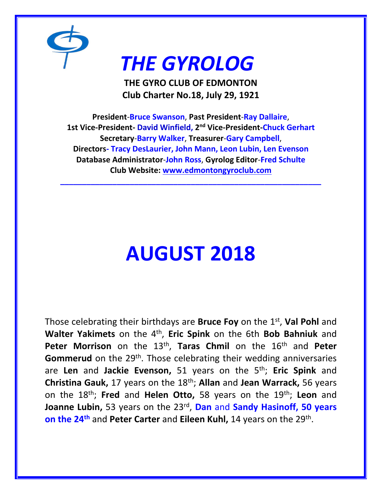

## *THE GYROLOG*

**THE GYRO CLUB OF EDMONTON Club Charter No.18, July 29, 1921**

**President**-**Bruce Swanson**, **Past President**-**Ray Dallaire**, **1st Vice-President- David Winfield, 2 nd Vice-President-Chuck Gerhart Secretary**-**Barry Walker**, **Treasurer**-**Gary Campbell**, **Directors- Tracy DesLaurier, John Mann, Leon Lubin, Len Evenson Database Administrator**-**John Ross**, **Gyrolog Editor**-**Fred Schulte Club Website: [www.edmontongyroclub.com](http://www.edmontongyroclub.com/)**

**\_\_\_\_\_\_\_\_\_\_\_\_\_\_\_\_\_\_\_\_\_\_\_\_\_\_\_\_\_\_\_\_\_\_\_\_\_\_\_\_\_\_\_\_\_\_\_\_\_\_\_\_\_\_\_\_\_\_\_\_**

# **AUGUST 2018**

Those celebrating their birthdays are **Bruce Foy** on the 1st , **Val Pohl** and **Walter Yakimets** on the 4th , **Eric Spink** on the 6th **Bob Bahniuk** and **Peter Morrison** on the 13<sup>th</sup>, Taras Chmil on the 16<sup>th</sup> and Peter Gommerud on the 29<sup>th</sup>. Those celebrating their wedding anniversaries are **Len** and **Jackie Evenson,** 51 years on the 5th; **Eric Spink** and **Christina Gauk,** 17 years on the 18th; **Allan** and **Jean Warrack,** 56 years on the 18th; **Fred** and **Helen Otto,** 58 years on the 19th; **Leon** and **Joanne Lubin,** 53 years on the 23rd , **Dan** and **Sandy Hasinoff, 50 years on the 24th** and **Peter Carter** and **Eileen Kuhl,** 14 years on the 29th .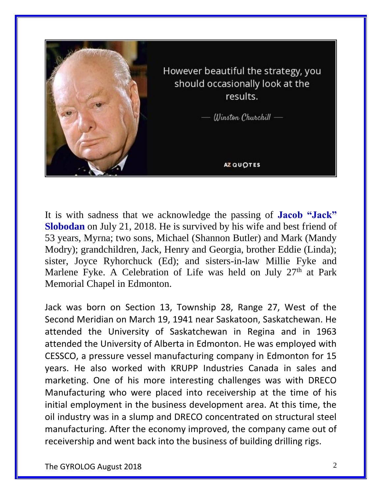

It is with sadness that we acknowledge the passing of **Jacob "Jack" Slobodan** on July 21, 2018. He is survived by his wife and best friend of 53 years, Myrna; two sons, Michael (Shannon Butler) and Mark (Mandy Modry); grandchildren, Jack, Henry and Georgia, brother Eddie (Linda); sister, Joyce Ryhorchuck (Ed); and sisters-in-law Millie Fyke and Marlene Fyke. A Celebration of Life was held on July 27<sup>th</sup> at Park Memorial Chapel in Edmonton.

Jack was born on Section 13, Township 28, Range 27, West of the Second Meridian on March 19, 1941 near Saskatoon, Saskatchewan. He attended the University of Saskatchewan in Regina and in 1963 attended the University of Alberta in Edmonton. He was employed with CESSCO, a pressure vessel manufacturing company in Edmonton for 15 years. He also worked with KRUPP Industries Canada in sales and marketing. One of his more interesting challenges was with DRECO Manufacturing who were placed into receivership at the time of his initial employment in the business development area. At this time, the oil industry was in a slump and DRECO concentrated on structural steel manufacturing. After the economy improved, the company came out of receivership and went back into the business of building drilling rigs.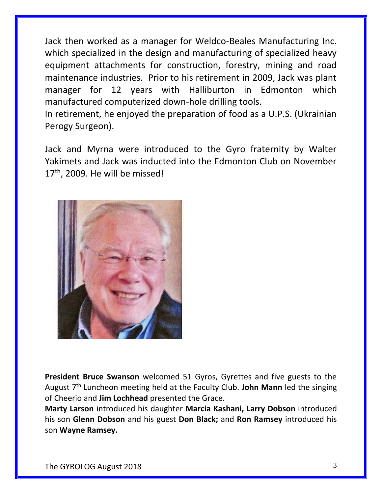Jack then worked as a manager for Weldco-Beales Manufacturing Inc. which specialized in the design and manufacturing of specialized heavy equipment attachments for construction, forestry, mining and road maintenance industries. Prior to his retirement in 2009, Jack was plant manager for 12 years with Halliburton in Edmonton which manufactured computerized down-hole drilling tools.

In retirement, he enjoyed the preparation of food as a U.P.S. (Ukrainian Perogy Surgeon).

Jack and Myrna were introduced to the Gyro fraternity by Walter Yakimets and Jack was inducted into the Edmonton Club on November 17<sup>th</sup>, 2009. He will be missed!



**President Bruce Swanson** welcomed 51 Gyros, Gyrettes and five guests to the August 7th Luncheon meeting held at the Faculty Club. **John Mann** led the singing of Cheerio and **Jim Lochhead** presented the Grace.

**Marty Larson** introduced his daughter **Marcia Kashani, Larry Dobson** introduced his son **Glenn Dobson** and his guest **Don Black;** and **Ron Ramsey** introduced his son **Wayne Ramsey.**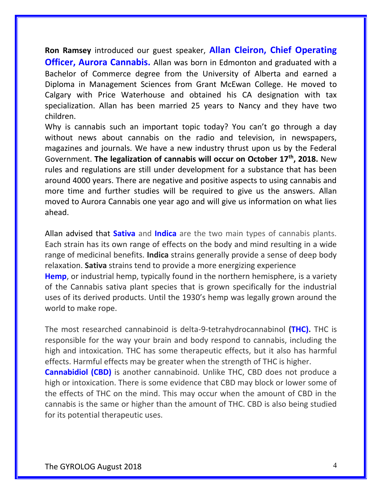**Ron Ramsey** introduced our guest speaker, **Allan Cleiron, Chief Operating Officer, Aurora Cannabis.** Allan was born in Edmonton and graduated with a Bachelor of Commerce degree from the University of Alberta and earned a Diploma in Management Sciences from Grant McEwan College. He moved to Calgary with Price Waterhouse and obtained his CA designation with tax specialization. Allan has been married 25 years to Nancy and they have two children.

Why is cannabis such an important topic today? You can't go through a day without news about cannabis on the radio and television, in newspapers, magazines and journals. We have a new industry thrust upon us by the Federal Government. **The legalization of cannabis will occur on October 17th, 2018.** New rules and regulations are still under development for a substance that has been around 4000 years. There are negative and positive aspects to using cannabis and more time and further studies will be required to give us the answers. Allan moved to Aurora Cannabis one year ago and will give us information on what lies ahead.

Allan advised that **Sativa** and **Indica** are the two main types of cannabis plants. Each strain has its own range of effects on the body and mind resulting in a wide range of medicinal benefits. **Indica** strains generally provide a sense of deep body relaxation. **Sativa** strains tend to provide a more energizing experience **Hemp**, or industrial hemp, typically found in the northern hemisphere, is a variety of the Cannabis sativa plant species that is grown specifically for the industrial uses of its derived products. Until the 1930's hemp was legally grown around the world to make rope.

The most researched cannabinoid is delta-9-tetrahydrocannabinol **(THC).** THC is responsible for the way your brain and body respond to cannabis, including the high and intoxication. THC has some therapeutic effects, but it also has harmful effects. Harmful effects may be greater when the strength of THC is higher.

**Cannabidiol (CBD)** is another cannabinoid. Unlike THC, CBD does not produce a high or intoxication. There is some evidence that CBD may block or lower some of the effects of THC on the mind. This may occur when the amount of CBD in the cannabis is the same or higher than the amount of THC. CBD is also being studied for its potential therapeutic uses.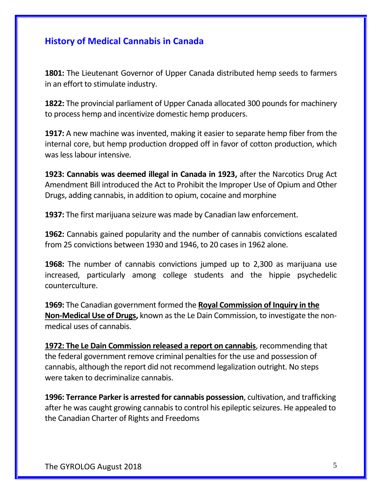#### **History of Medical Cannabis in Canada**

**1801:** The Lieutenant Governor of Upper Canada [distributed hemp seeds to farmers](https://sencanada.ca/content/sen/committee/371/ille/library/spicer-e.htm#B) in an effort to stimulate industry.

**1822:** The provincial parliament of Upper Canada allocated 300 pounds for machinery to process hemp and incentivize domestic hemp producers.

**1917:** A new machine was invented, making it easier to separate hemp fiber from the internal core, but hemp production dropped off in favor of cotton production, which was less labour intensive.

**1923: [Cannabis was deemed illegal in Canada in 1923,](http://www.cbc.ca/news/health/marijuana-was-criminalized-in-1923-but-why-1.2630436)** after the Narcotics Drug Act Amendment Bill introduced the Act to Prohibit the Improper Use of Opium and Other Drugs, adding cannabis, in addition to opium, cocaine and morphine

**1937:** The first marijuana seizure was made by Canadian law enforcement.

**1962:** Cannabis gained popularity and [the number of cannabis convictions escalated](https://sencanada.ca/content/sen/committee/371/ille/library/spicer-e.htm#B) from 25 convictions between 1930 and 1946, to 20 cases in 1962 alone.

**1968:** The number of cannabis convictions jumped up to 2,300 as marijuana use increased, particularly among college students and the hippie psychedelic counterculture.

**1969:** The Canadian government formed the **[Royal Commission of Inquiry in the](http://www.thecanadianencyclopedia.ca/en/article/royal-commission-on-the-non-medical-use-of-drugs/)  [Non-Medical Use of Drugs,](http://www.thecanadianencyclopedia.ca/en/article/royal-commission-on-the-non-medical-use-of-drugs/)** known as the Le Dain Commission, to investigate the nonmedical uses of cannabis.

**1972: [The Le Dain Commission released a report on cannabis](https://www.ncbi.nlm.nih.gov/pmc/articles/PMC1947221/)**, recommending that the federal government remove criminal penalties for the use and possession of cannabis, although the report did not recommend legalization outright. No steps were taken to decriminalize cannabis.

**1996: [Terrance Parker is arrested for cannabis possession](http://www.cbc.ca/archives/entry/canadas-marijuana-laws-declared-unconstitutional)**, cultivation, and trafficking after he was caught growing cannabis to control his epileptic seizures. He appealed to the Canadian Charter of Rights and Freedoms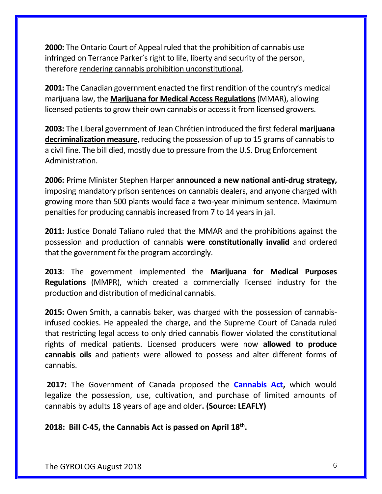**2000:** The Ontario Court of Appeal ruled that the prohibition of cannabis use infringed on Terrance Parker's right to life, liberty and security of the person, therefore [rendering cannabis prohibition unconstitutional.](http://www.cbc.ca/archives/entry/canadas-marijuana-laws-declared-unconstitutional)

**2001:** The Canadian government enacted the first rendition of the country's medical marijuana law, the **[Marijuana for Medical Access Regulations](http://lois-laws.justice.gc.ca/eng/regulations/sor-2001-227/page-1.html)**(MMAR), allowing licensed patients to grow their own cannabis or access it from licensed growers.

**2003:** The Liberal government of Jean Chrétien introduced the first federal **[marijuana](http://www.parl.ca/DocumentViewer/en/37-2/bill/C-38/second-reading)  [decriminalization measure](http://www.parl.ca/DocumentViewer/en/37-2/bill/C-38/second-reading)**, reducing the possession of up to 15 grams of cannabis to a civil fine. The bill died, mostly due to pressure from the U.S. Drug Enforcement Administration.

**2006:** Prime Minister Stephen Harper **[announced a new national anti-drug strategy,](http://www.conservative.ca/pm-harper-announces-plan-to-strengthen-the-national-anti-drug-strategy-2/)**  imposing mandatory prison sentences on cannabis dealers, and anyone charged with growing more than 500 plants would face a two-year minimum sentence. Maximum penalties for producing cannabis increased from 7 to 14 years in jail.

**2011:** Justice Donald Taliano ruled that the MMAR and the prohibitions against the possession and production of cannabis **[were constitutionally invalid](http://www.torontosun.com/2011/06/22/medical-marijuana-law-gets-reprieve)** and ordered that the government fix the program accordingly.

**2013**: The government implemented the **[Marijuana for Medical Purposes](http://laws-lois.justice.gc.ca/eng/regulations/SOR-2013-119/page-1.html)  [Regulations](http://laws-lois.justice.gc.ca/eng/regulations/SOR-2013-119/page-1.html)** (MMPR), which created a commercially licensed industry for the production and distribution of medicinal cannabis.

**2015:** Owen Smith, a cannabis baker, was charged with the possession of cannabisinfused cookies. He appealed the charge, and the Supreme Court of Canada ruled that restricting legal access to only dried cannabis flower violated the constitutional rights of medical patients. Licensed producers were now **[allowed to produce](https://www.leafly.com/news/canada/canada-just-legalized-cannabis-oils-and-edibles)  [cannabis oils](https://www.leafly.com/news/canada/canada-just-legalized-cannabis-oils-and-edibles)** and patients were allowed to possess and alter different forms of cannabis.

**2017:** The Government of Canada proposed the **[Cannabis Act,](https://www.canada.ca/en/services/health/campaigns/introduction-cannabis-act-questions-answers.html)** which would legalize the possession, use, cultivation, and purchase of limited amounts of cannabis by adults 18 years of age and older**. (Source: LEAFLY)**

**2018: Bill C-45, the Cannabis Act is passed on April 18th .**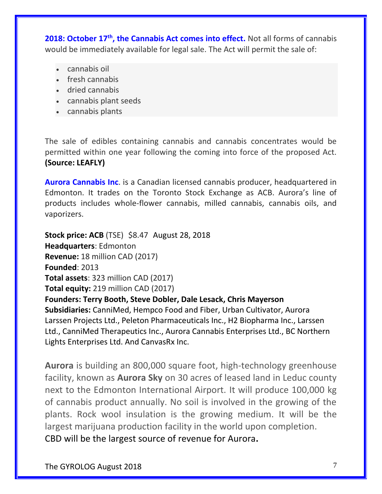**2018: October 17<sup>th</sup>, the Cannabis Act comes into effect.** Not all forms of cannabis would be immediately available for legal sale. The Act will permit the sale of:

- cannabis oil
- fresh cannabis
- dried cannabis
- cannabis plant seeds
- cannabis plants

The sale of edibles containing cannabis and cannabis concentrates would be permitted within one year following the coming into force of the proposed Act. **(Source: LEAFLY)**

**Aurora Cannabis Inc**. is a Canadian licensed cannabis producer, headquartered in Edmonton. It trades on the Toronto Stock Exchange as ACB. Aurora's line of products includes whole-flower cannabis, milled cannabis, cannabis oils, and vaporizers.

**[Stock price:](https://www.google.com/search?q=aurora+cannabis+stock+price&stick=H4sIAAAAAAAAAONgecRowS3w8sc9YSn9SWtOXmPU5OIKzsgvd80rySypFJLmYoOyBKX4uXj10_UNDZPNCovTyrLMeQAsCfSCPQAAAA&sa=X&ved=2ahUKEwi91O2ospDdAhWSNn0KHZN_DjYQ6BMwGHoECAcQHA) [ACB](https://www.google.com/search?q=TSE:ACB&stick=H4sIAAAAAAAAAONgecRowS3w8sc9YSn9SWtOXmPU5OIKzsgvd80rySypFJLmYoOyBKX4uXj10_UNDZPNCovTyrLMeQAsCfSCPQAAAA&sa=X&ved=2ahUKEwi91O2ospDdAhWSNn0KHZN_DjYQsRUwGHoECAcQHQ)** (TSE) \$8.47 August 28, 2018 **[Headquarters](https://www.google.com/search?q=aurora+cannabis+headquarters&stick=H4sIAAAAAAAAAOPgE-LVT9c3NExPyyguLk5O1tLKTrbSzy9KT8zLrEosyczPQ-FYZaQmphSWJhaVpBYVAwB-oRngPQAAAA&sa=X&ved=2ahUKEwi91O2ospDdAhWSNn0KHZN_DjYQ6BMoADAZegQIBxAg)**: Edmonton **[Revenue:](https://www.google.com/search?q=aurora+cannabis+revenue&stick=H4sIAAAAAAAAAOPgE-LVT9c3NExPyyguLk5O1lLJKLfST87PyUlNLsnMz9PPL0pPzMusSgRxiq2KUstS80pTASLTO5U3AAAA&sa=X&ved=2ahUKEwi91O2ospDdAhWSNn0KHZN_DjYQ6BMoADAaegQIBxAk)** 18 million CAD (2017) **[Founded](https://www.google.com/search?q=aurora+cannabis+founded&stick=H4sIAAAAAAAAAOPgE-LVT9c3NExPyyguLk5O1lLNTrbSzy9KT8zLrEosyczPQ-FYpeWX5qWkpgAAySVWyzgAAAA&sa=X&ved=2ahUKEwi91O2ospDdAhWSNn0KHZN_DjYQ6BMoADAbegQIBxAn)**: 2013 **[Total assets](https://www.google.com/search?q=aurora+cannabis+total+assets&stick=H4sIAAAAAAAAAOPgE-LVT9c3NExPyyguLk5O1tLMKLfST87PyUlNLsnMz9PPL0pPzMusSgRxiq1K8ksScxQSi4tTS4oB_r902zwAAAA&sa=X&ved=2ahUKEwi91O2ospDdAhWSNn0KHZN_DjYQ6BMoADAcegQIBxAq)**: 323 million CAD (2017) **[Total equity:](https://www.google.com/search?q=aurora+cannabis+total+equity&stick=H4sIAAAAAAAAAOPgE-LVT9c3NExPyyguLk5O1tLMKLfST87PyUlNLsnMz9PPL0pPzMusSgRxiq1K8ksScxRSC0szSyoBLuGB9jwAAAA&sa=X&ved=2ahUKEwi91O2ospDdAhWSNn0KHZN_DjYQ6BMoADAdegQIBxAt)** 219 million CAD (2017) **[Founders:](https://www.google.com/search?q=aurora+cannabis+founders&stick=H4sIAAAAAAAAAOPgE-LVT9c3NExPyyguLk5O1lLPTrbSTyotzsxLLS6GM-LzC1KLEksy8_Os0vJL81JSiwCCON9-OgAAAA&sa=X&ved=2ahUKEwi91O2ospDdAhWSNn0KHZN_DjYQ6BMoADAfegQIBxA2) [Terry Booth,](https://www.google.com/search?q=Terry+Booth&stick=H4sIAAAAAAAAAOPgE-LVT9c3NExPyyguLk5OVoJwk41yCissyw201LOTrfSTSosz81KLi-GM-PyC1KLEksz8PKu0_NK8lNQiAPypl7ZJAAAA&sa=X&ved=2ahUKEwi91O2ospDdAhWSNn0KHZN_DjYQmxMoATAfegQIBxA3) [Steve Dobler,](https://www.google.com/search?q=Steve+Dobler&stick=H4sIAAAAAAAAAOPgE-LVT9c3NExPyyguLk5OVoJwk02Lk8rK47O11LOTrfSTSosz81KLi-GM-PyC1KLEksz8PKu0_NK8lNQiABYQhCVJAAAA&sa=X&ved=2ahUKEwi91O2ospDdAhWSNn0KHZN_DjYQmxMoAjAfegQIBxA4) [Dale Lesack,](https://www.google.com/search?q=aurora+cannabis+dale+lesack&stick=H4sIAAAAAAAAAOPgE-LVT9c3NExPyyguLk5OVoJys8ozCi0qM7TUs5Ot9JNKizPzUouL4Yz4_ILUosSSzPw8q7T80ryU1CIA3IFjz0kAAAA&sa=X&ved=2ahUKEwi91O2ospDdAhWSNn0KHZN_DjYQmxMoAzAfegQIBxA5) [Chris Mayerson](https://www.google.com/search?q=Chris+Mayerson&stick=H4sIAAAAAAAAAOPgE-LVT9c3NExPyyguLk5OVoJw0yor04oykqu01LOTrfSTSosz81KLi-GM-PyC1KLEksz8PKu0_NK8lNQiAD0-TyhJAAAA&sa=X&ved=2ahUKEwi91O2ospDdAhWSNn0KHZN_DjYQmxMoBDAfegQIBxA6) Subsidiaries:** CanniMed, Hempco Food and Fiber, Urban Cultivator, Aurora Larssen Projects Ltd., Peleton Pharmaceuticals Inc., H2 Biopharma Inc., Larssen Ltd., CanniMed Therapeutics Inc., Aurora Cannabis Enterprises Ltd., BC Northern Lights Enterprises Ltd. And CanvasRx Inc.

**Aurora** is building an 800,000 square foot, high-technology greenhouse facility, known as **Aurora Sky** on 30 acres of leased land in Leduc county next to the Edmonton International Airport. It will produce 100,000 kg of cannabis product annually. No soil is involved in the growing of the plants. Rock wool insulation is the growing medium. It will be the largest marijuana production facility in the world upon completion. CBD will be the largest source of revenue for Aurora**.**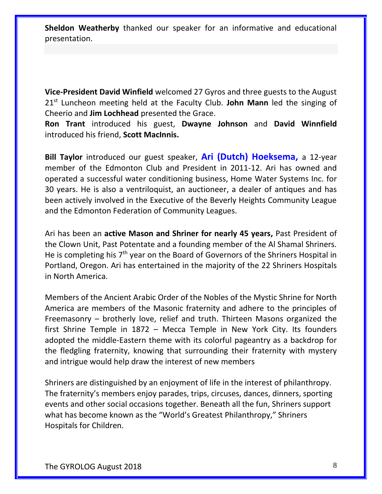**Sheldon Weatherby** thanked our speaker for an informative and educational presentation.

**Vice-President David Winfield** welcomed 27 Gyros and three guests to the August 21st Luncheon meeting held at the Faculty Club. **John Mann** led the singing of Cheerio and **Jim Lochhead** presented the Grace.

**Ron Trant** introduced his guest, **Dwayne Johnson** and **David Winnfield** introduced his friend, **Scott MacInnis.**

**Bill Taylor** introduced our guest speaker, **Ari (Dutch) Hoeksema,** a 12-year member of the Edmonton Club and President in 2011-12. Ari has owned and operated a successful water conditioning business, Home Water Systems Inc. for 30 years. He is also a ventriloquist, an auctioneer, a dealer of antiques and has been actively involved in the Executive of the Beverly Heights Community League and the Edmonton Federation of Community Leagues.

Ari has been an **active Mason and Shriner for nearly 45 years,** Past President of the Clown Unit, Past Potentate and a founding member of the Al Shamal Shriners. He is completing his 7<sup>th</sup> year on the Board of Governors of the Shriners Hospital in Portland, Oregon. Ari has entertained in the majority of the 22 Shriners Hospitals in North America.

Members of the Ancient Arabic Order of the Nobles of the Mystic Shrine for North America are members of the Masonic fraternity and adhere to the principles of Freemasonry – brotherly love, relief and truth. Thirteen Masons organized the first Shrine Temple in 1872 – Mecca Temple in New York City. Its founders adopted the middle-Eastern theme with its colorful pageantry as a backdrop for the fledgling fraternity, knowing that surrounding their fraternity with mystery and intrigue would help draw the interest of new members

Shriners are distinguished by an enjoyment of life in the interest of philanthropy. The fraternity's members enjoy parades, trips, circuses, dances, dinners, sporting events and other social occasions together. Beneath all the fun, Shriners support what has become known as the "World's Greatest Philanthropy," [Shriners](https://alshamalshriners.org/?page_id=800)  [Hospitals for Children.](https://alshamalshriners.org/?page_id=800)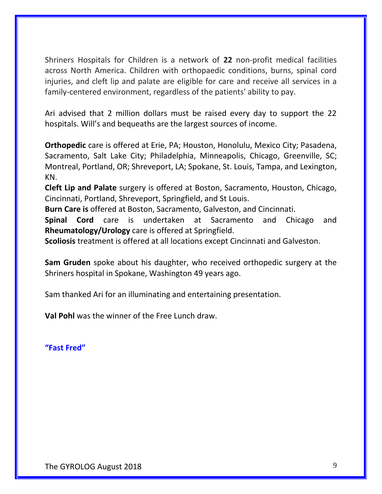Shriners Hospitals for Children is a network of **22** non-profit medical facilities across North America. Children with orthopaedic conditions, burns, spinal cord injuries, and cleft lip and palate are eligible for care and receive all services in a family-centered environment, regardless of the patients' ability to pay.

Ari advised that 2 million dollars must be raised every day to support the 22 hospitals. Will's and bequeaths are the largest sources of income.

**Orthopedic** care is offered at Erie, PA; Houston, Honolulu, Mexico City; Pasadena, Sacramento, Salt Lake City; Philadelphia, Minneapolis, Chicago, Greenville, SC; Montreal, Portland, OR; Shreveport, LA; Spokane, St. Louis, Tampa, and Lexington, KN.

**Cleft Lip and Palate** surgery is offered at Boston, Sacramento, Houston, Chicago, Cincinnati, Portland, Shreveport, Springfield, and St Louis.

**Burn Care is** offered at Boston, Sacramento, Galveston, and Cincinnati.

**Spinal Cord** care is undertaken at Sacramento and Chicago and **Rheumatology/Urology** care is offered at Springfield.

**Scoliosis** treatment is offered at all locations except Cincinnati and Galveston.

**Sam Gruden** spoke about his daughter, who received orthopedic surgery at the Shriners hospital in Spokane, Washington 49 years ago.

Sam thanked Ari for an illuminating and entertaining presentation.

**Val Pohl** was the winner of the Free Lunch draw.

**"Fast Fred"**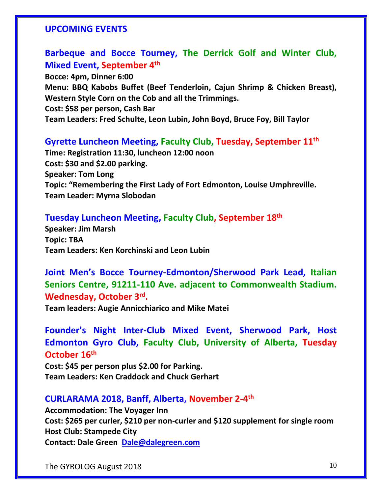#### **UPCOMING EVENTS**

### **Barbeque and Bocce Tourney, The Derrick Golf and Winter Club, Mixed Event, September 4th**

**Bocce: 4pm, Dinner 6:00 Menu: BBQ Kabobs Buffet (Beef Tenderloin, Cajun Shrimp & Chicken Breast), Western Style Corn on the Cob and all the Trimmings. Cost: \$58 per person, Cash Bar Team Leaders: Fred Schulte, Leon Lubin, John Boyd, Bruce Foy, Bill Taylor** 

#### **Gyrette Luncheon Meeting, Faculty Club, Tuesday, September 11th**

**Time: Registration 11:30, luncheon 12:00 noon Cost: \$30 and \$2.00 parking. Speaker: Tom Long Topic: "Remembering the First Lady of Fort Edmonton, Louise Umphreville. Team Leader: Myrna Slobodan**

#### **Tuesday Luncheon Meeting, Faculty Club, September 18th**

**Speaker: Jim Marsh Topic: TBA Team Leaders: Ken Korchinski and Leon Lubin**

## **Joint Men's Bocce Tourney-Edmonton/Sherwood Park Lead, Italian Seniors Centre, 91211-110 Ave. adjacent to Commonwealth Stadium. Wednesday, October 3rd .**

**Team leaders: Augie Annicchiarico and Mike Matei**

**Founder's Night Inter-Club Mixed Event, Sherwood Park, Host Edmonton Gyro Club, Faculty Club, University of Alberta, Tuesday October 16th**

**Cost: \$45 per person plus \$2.00 for Parking. Team Leaders: Ken Craddock and Chuck Gerhart**

### **CURLARAMA 2018, Banff, Alberta, November 2-4 th**

**Accommodation: The Voyager Inn Cost: \$265 per curler, \$210 per non-curler and \$120 supplement for single room Host Club: Stampede City Contact: Dale Green [Dale@dalegreen.com](mailto:Dale@dalegreen.com)**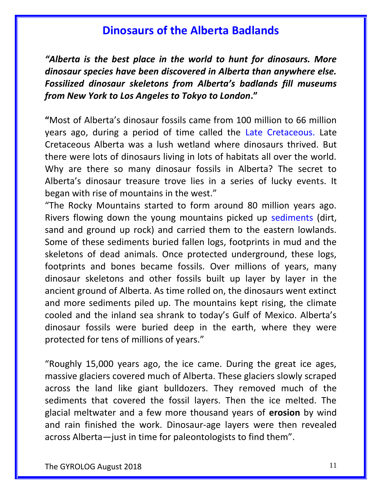## **Dinosaurs of the Alberta Badlands**

*"Alberta is the best place in the world to hunt for dinosaurs. More dinosaur species have been discovered in Alberta than anywhere else. Fossilized dinosaur skeletons from Alberta's badlands fill museums from New York to Los Angeles to Tokyo to London***."**

**"**Most of Alberta's dinosaur fossils came from 100 million to 66 million years ago, during a period of time called the Late Cretaceous. Late Cretaceous Alberta was a lush wetland where dinosaurs thrived. But there were lots of dinosaurs living in lots of habitats all over the world. Why are there so many dinosaur fossils in Alberta? The secret to Alberta's dinosaur treasure trove lies in a series of lucky events. It began with rise of mountains in the west."

"The Rocky Mountains started to form around 80 million years ago. Rivers flowing down the young mountains picked up sediments (dirt, sand and ground up rock) and carried them to the eastern lowlands. Some of these sediments buried fallen logs, footprints in mud and the skeletons of dead animals. Once protected underground, these logs, footprints and bones became fossils. Over millions of years, many dinosaur skeletons and other fossils built up layer by layer in the ancient ground of Alberta. As time rolled on, the dinosaurs went extinct and more sediments piled up. The mountains kept rising, the climate cooled and the inland sea shrank to today's Gulf of Mexico. Alberta's dinosaur fossils were buried deep in the earth, where they were protected for tens of millions of years."

"Roughly 15,000 years ago, the ice came. During the great ice ages, massive glaciers covered much of Alberta. These glaciers slowly scraped across the land like giant bulldozers. They removed much of the sediments that covered the fossil layers. Then the ice melted. The glacial meltwater and a few more thousand years of **erosion** by wind and rain finished the work. Dinosaur-age layers were then revealed across Alberta—just in time for paleontologists to find them".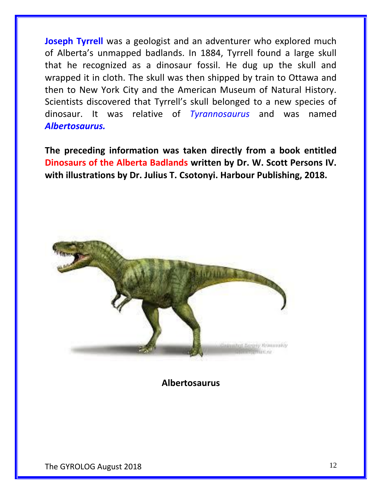**Joseph Tyrrell** was a geologist and an adventurer who explored much of Alberta's unmapped badlands. In 1884, Tyrrell found a large skull that he recognized as a dinosaur fossil. He dug up the skull and wrapped it in cloth. The skull was then shipped by train to Ottawa and then to New York City and the American Museum of Natural History. Scientists discovered that Tyrrell's skull belonged to a new species of dinosaur. It was relative of *Tyrannosaurus* and was named *Albertosaurus.*

**The preceding information was taken directly from a book entitled Dinosaurs of the Alberta Badlands written by Dr. W. Scott Persons IV. with illustrations by Dr. Julius T. Csotonyi. Harbour Publishing, 2018.**



**Albertosaurus**